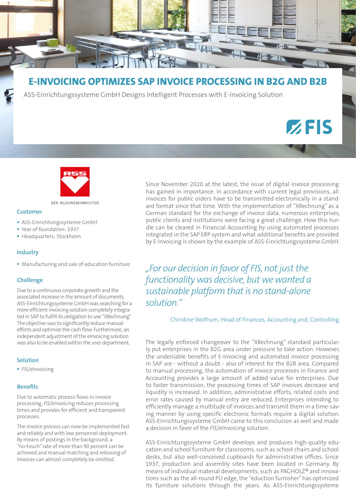

# **E-INVOICING OPTIMIZES SAP INVOICE PROCESSING IN B2G AND B2B**

ASS-Einrichtungssysteme GmbH Designs Intelligent Processes with E-Invoicing Solution

# $Z$ FIS



DER BILDUNGSEINRICHTER.

# **Customer**

- **ASS-Einrichtungssysteme GmbH**
- Year of foundation: 1937
- **Headquarters: Stockheim**

#### **Industry**

Manufacturing and sale of education furniture

#### **Challenge**

Due to a continuous corporate growth and the associated increase in the amount of documents, ASS-Einrichtungssysteme GmbH was searching for a more efficient invoicing solution completely integrated in SAP to fulfill its obligation to use "XRechnung". The objective was to significantly reduce manual efforts and optimize the cash flow. Furthermore, an independent adjustment of the eInvoicing solution was also to be enabled within the user department.

#### **Solution**

*FIS*/eInvoicing

#### **Benefits**

Due to automatic process flows in invoice processing, *FIS*/eInvoicing reduces processing times and provides for efficient and transparent processes.

The invoice process can now be implemented fast and reliably and with low personnel deployment. By means of postings in the background, a "no-touch" rate of more than 90 percent can be achieved and manual matching and releasing of invoices can almost completely be omitted.

Since November 2020 at the latest, the issue of digital invoice processing has gained in importance. In accordance with current legal provisions, all invoices for public orders have to be transmitted electronically in a standard format since that time. With the implementation of "XRechnung" as a German standard for the exchange of invoice data, numerous enterprises, public clients and institutions were facing a great challenge. How this hurdle can be cleared in Financial Accounting by using automated processes integrated in the SAP ERP system and what additional benefits are provided by E-Invoicing is shown by the example of ASS-Einrichtungssysteme GmbH.

*"For our decision in favor of FIS, not just the functionality was decisive, but we wanted a sustainable platform that is no stand-alone solution."*

Christine Wolfrum, Head of Finances, Accounting and, Controlling

The legally enforced changeover to the "XRechnung" standard particularly put enterprises in the B2G area under pressure to take action. However, the undeniable benefits of E-Invoicing and automated invoice processing in SAP are - without a doubt - also of interest for the B2B area. Compared to manual processing, the automation of invoice processes in Finance and Accounting provides a large amount of added value for enterprises. Due to faster transmission, the processing times of SAP invoices decrease and liquidity is increased. In addition, administrative efforts, related costs and error rates caused by manual entry are reduced. Enterprises intending to efficiently manage a multitude of invoices and transmit them in a time-saving manner by using specific electronic formats require a digital solution. ASS-Einrichtungssysteme GmbH came to this conclusion as well and made a decision in favor of the *FIS*/eInvoicing solution.

ASS-Einrichtungssysteme GmbH develops and produces high-quality education and school furniture for classrooms, such as school chairs and school desks, but also well-conceived cupboards for administrative offices. Since 1937, production and assembly sites have been located in Germany. By means of individual material developments, such as PAGHOLZ® and innovations such as the all-round PU edge, the "eduction furnisher" has optimized its furniture solutions through the years. As ASS-Einrichtungssysteme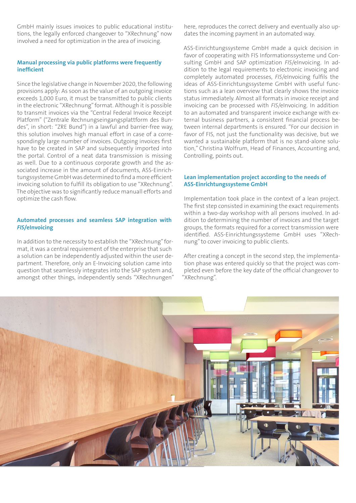GmbH mainly issues invoices to public educational institutions, the legally enforced changeover to "XRechnung" now involved a need for optimization in the area of invoicing.

# **Manual processing via public platforms were frequently inefficient**

Since the legislative change in November 2020, the following provisions apply: As soon as the value of an outgoing invoice exceeds 1,000 Euro, it must be transmitted to public clients in the electronic "XRechnung" format. Although it is possible to transmit invoices via the "Central Federal Invoice Receipt Platform" ("Zentrale Rechnungseingangsplattform des Bundes", in short: "ZRE Bund") in a lawful and barrier-free way, this solution involves high manual effort in case of a correspondingly large number of invoices. Outgoing invoices first have to be created in SAP and subsequently imported into the portal. Control of a neat data transmission is missing as well. Due to a continuous corporate growth and the associated increase in the amount of documents, ASS-Einrichtungssysteme GmbH was determined to find a more efficient invoicing solution to fulfill its obligation to use "XRechnung". The objective was to significantly reduce manuall efforts and optimize the cash flow.

# **Automated processes and seamless SAP integration with**  *FIS***/eInvoicing**

In addition to the necessity to establish the "XRechnung" format, it was a central requirement of the enterprise that such a solution can be independently adjusted within the user department. Therefore, only an E-Invoicing solution came into question that seamlessly integrates into the SAP system and, amongst other things, independently sends "XRechnungen" here, reproduces the correct delivery and eventually also updates the incoming payment in an automated way.

ASS-Einrichtungssysteme GmbH made a quick decision in favor of cooperating with FIS Informationssysteme und Consulting GmbH and SAP optimization *FIS*/eInvoicing. In addition to the legal requirements to electronic invoicing and completely automated processes, *FIS*/eInvoicing fulfils the ideas of ASS-Einrichtungssysteme GmbH with useful functions such as a lean overview that clearly shows the invoice status immediately. Almost all formats in invoice receipt and invoicing can be processed with *FIS*/eInvoicing. In addition to an automated and transparent invoice exchange with external business partners, a consistent financial process between internal departments is ensured. "For our decision in favor of FIS, not just the functionality was decisive, but we wanted a sustainable platform that is no stand-alone solution," Christina Wolfrum, Head of Finances, Accounting and, Controlling, points out.

### **Lean implementation project according to the needs of ASS-Einrichtungssysteme GmbH**

Implementation took place in the context of a lean project. The first step consisted in examining the exact requirements within a two-day workshop with all persons involved. In addition to determining the number of invoices and the target groups, the formats required for a correct transmission were identified. ASS-Einrichtungssysteme GmbH uses "XRechnung" to cover invoicing to public clients.

After creating a concept in the second step, the implementation phase was entered quickly so that the project was completed even before the key date of the official changeover to "XRechnung".

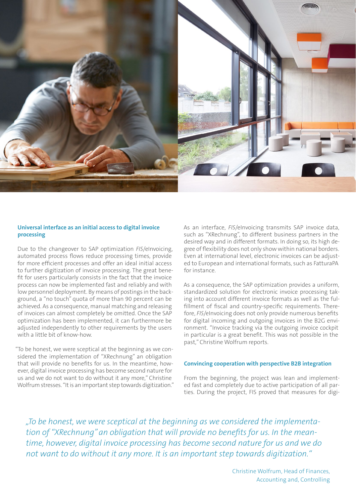

#### **Universal interface as an initial access to digital invoice processing**

Due to the changeover to SAP optimization *FIS*/eInvoicing, automated process flows reduce processing times, provide for more efficient processes and offer an ideal initial access to further digitization of invoice processing. The great benefit for users particularly consists in the fact that the invoice process can now be implemented fast and reliably and with low personnel deployment. By means of postings in the background, a "no touch" quota of more than 90 percent can be achieved. As a consequence, manual matching and releasing of invoices can almost completely be omitted. Once the SAP optimization has been implemented, it can furthermore be adjusted independently to other requirements by the users with a little bit of know-how.

"To be honest, we were sceptical at the beginning as we considered the implementation of "XRechnung" an obligation that will provide no benefits for us. In the meantime, however, digital invoice processing has become second nature for us and we do not want to do without it any more," Christine Wolfrum stresses. "It is an important step towards digitization." As an interface, *FIS*/eInvoicing transmits SAP invoice data, such as "XRechnung", to different business partners in the desired way and in different formats. In doing so, its high degree of flexibility does not only show within national borders. Even at international level, electronic invoices can be adjusted to European and international formats, such as FatturaPA for instance.

As a consequence, the SAP optimization provides a uniform, standardized solution for electronic invoice processing taking into account different invoice formats as well as the fulfillment of fiscal and country-specific requirements. Therefore, *FIS*/eInvoicing does not only provide numerous benefits for digital incoming and outgoing invoices in the B2G environment. "Invoice tracking via the outgoing invoice cockpit in particular is a great benefit. This was not possible in the past," Christine Wolfrum reports.

#### **Convincing cooperation with perspective B2B integration**

From the beginning, the project was lean and implemented fast and completely due to active participation of all parties. During the project, FIS proved that measures for digi-

*"To be honest, we were sceptical at the beginning as we considered the implementation of "XRechnung" an obligation that will provide no benefits for us. In the meantime, however, digital invoice processing has become second nature for us and we do not want to do without it any more. It is an important step towards digitization."*